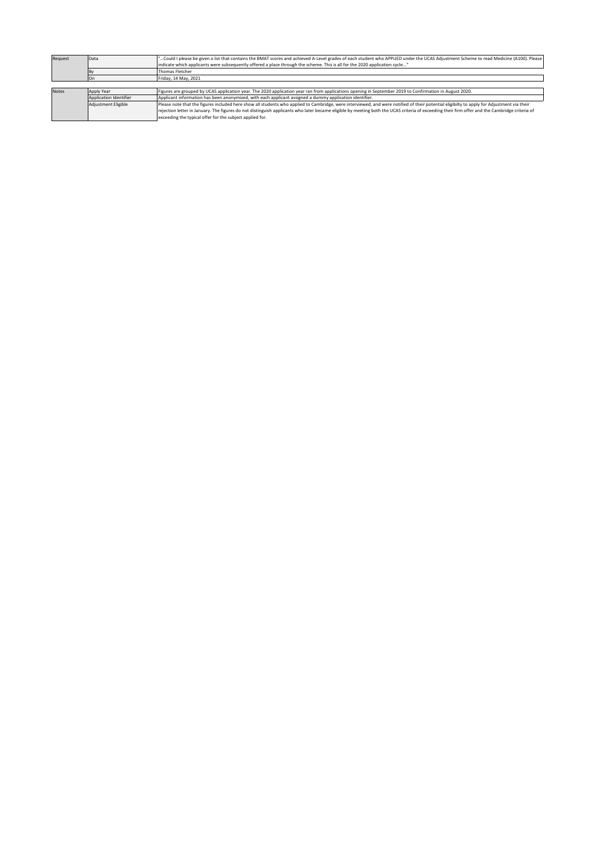| Request | Data                   | "Could I please be given a list that contains the BMAT scores and achieved A-Level grades of each student who APPLIED under the UCAS Adjustment Scheme to read Medicine (A100). Please         |
|---------|------------------------|------------------------------------------------------------------------------------------------------------------------------------------------------------------------------------------------|
|         |                        | indicate which applicants were subsequently offered a place through the scheme. This is all for the 2020 application cycle"                                                                    |
|         |                        | Thomas Fletcher                                                                                                                                                                                |
|         |                        | Friday, 14 May, 2021                                                                                                                                                                           |
|         |                        |                                                                                                                                                                                                |
| Notes   | Apply Year             | Figures are grouped by UCAS application year. The 2020 application year ran from applications opening in September 2019 to Confirmation in August 2020.                                        |
|         | Application Identifier | Applicant information has been anonymized, with each applicant assigned a dummy application identifier.                                                                                        |
|         | Adiustment Eligible    | Please note that the figures included here show all students who applied to Cambridge, were interviewed, and were notified of their potential eligibilty to apply for Adjustment via their     |
|         |                        | rejection letter in January. The figures do not distinguish applicants who later became eligible by meeting both the UCAS criteria of exceeding their firm offer and the Cambridge criteria of |
|         |                        | exceeding the typical offer for the subject applied for.                                                                                                                                       |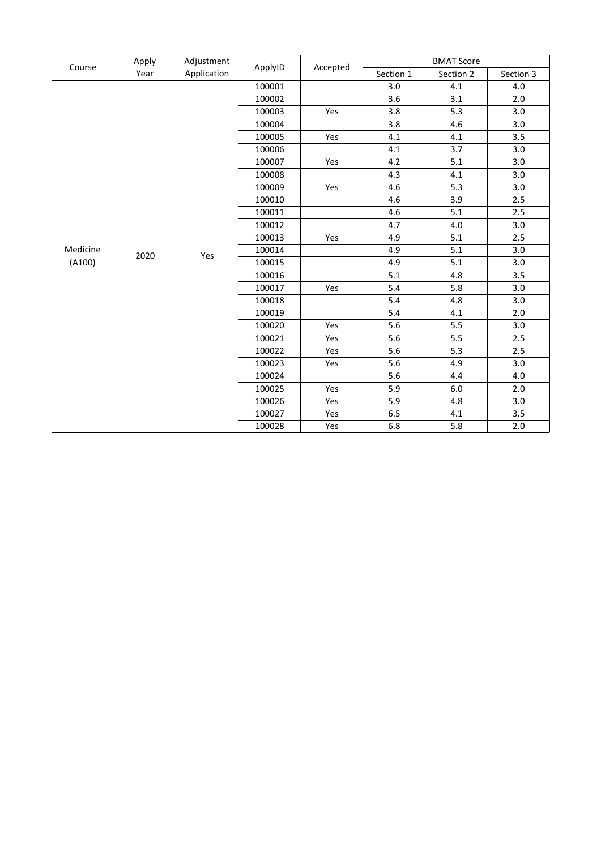|          | Apply | Adjustment<br>Application | ApplyID | Accepted | <b>BMAT Score</b> |           |           |
|----------|-------|---------------------------|---------|----------|-------------------|-----------|-----------|
| Course   | Year  |                           |         |          | Section 1         | Section 2 | Section 3 |
|          | 2020  |                           | 100001  |          | 3.0               | 4.1       | 4.0       |
|          |       |                           | 100002  |          | 3.6               | 3.1       | 2.0       |
|          |       |                           | 100003  | Yes      | 3.8               | 5.3       | 3.0       |
|          |       |                           | 100004  |          | 3.8               | 4.6       | 3.0       |
|          |       |                           | 100005  | Yes      | 4.1               | 4.1       | 3.5       |
|          |       |                           | 100006  |          | 4.1               | 3.7       | 3.0       |
|          |       |                           | 100007  | Yes      | 4.2               | 5.1       | 3.0       |
|          |       |                           | 100008  |          | 4.3               | 4.1       | 3.0       |
|          |       |                           | 100009  | Yes      | 4.6               | 5.3       | 3.0       |
|          |       |                           | 100010  |          | 4.6               | 3.9       | 2.5       |
|          |       |                           | 100011  |          | 4.6               | 5.1       | 2.5       |
|          |       | Yes                       | 100012  |          | 4.7               | 4.0       | 3.0       |
|          |       |                           | 100013  | Yes      | 4.9               | 5.1       | 2.5       |
| Medicine |       |                           | 100014  |          | 4.9               | 5.1       | 3.0       |
| (A100)   |       |                           | 100015  |          | 4.9               | 5.1       | 3.0       |
|          |       |                           | 100016  |          | 5.1               | 4.8       | 3.5       |
|          |       |                           | 100017  | Yes      | 5.4               | 5.8       | 3.0       |
|          |       |                           | 100018  |          | 5.4               | 4.8       | 3.0       |
|          |       |                           | 100019  |          | 5.4               | 4.1       | 2.0       |
|          |       |                           | 100020  | Yes      | 5.6               | 5.5       | 3.0       |
|          |       |                           | 100021  | Yes      | 5.6               | 5.5       | 2.5       |
|          |       |                           | 100022  | Yes      | 5.6               | 5.3       | 2.5       |
|          |       |                           | 100023  | Yes      | 5.6               | 4.9       | 3.0       |
|          |       |                           | 100024  |          | 5.6               | 4.4       | 4.0       |
|          |       |                           | 100025  | Yes      | 5.9               | 6.0       | 2.0       |
|          |       |                           | 100026  | Yes      | 5.9               | 4.8       | 3.0       |
|          |       |                           | 100027  | Yes      | 6.5               | 4.1       | 3.5       |
|          |       |                           | 100028  | Yes      | 6.8               | 5.8       | 2.0       |